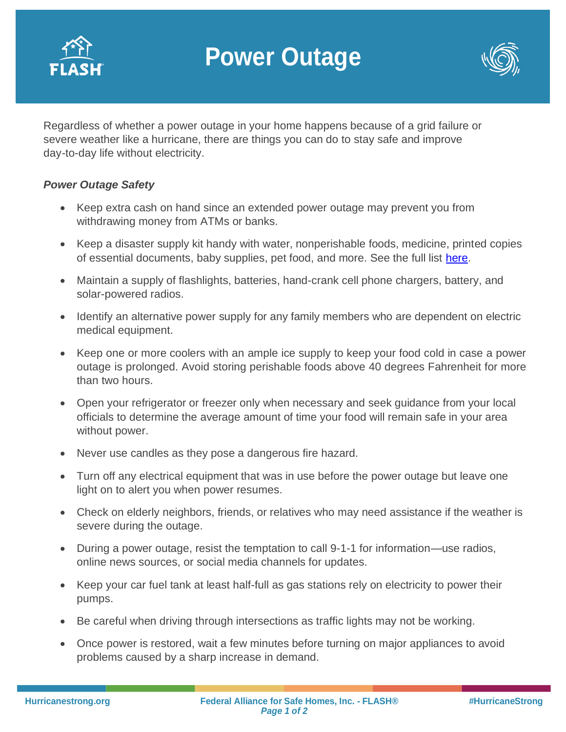

## **Power Outage**



Regardless of whether a power outage in your home happens because of a grid failure or severe weather like a hurricane, there are things you can do to stay safe and improve day-to-day life without electricity.

## *Power Outage Safety*

- Keep extra cash on hand since an extended power outage may prevent you from withdrawing money from ATMs or banks.
- Keep a disaster supply kit handy with water, nonperishable foods, medicine, printed copies of essential documents, baby supplies, pet food, and more. See the full list [here.](https://hurricanestrong.org/wp-content/uploads/2021/04/2021-05-04-Build-Your-Disaster-Supply-Kit-Final.pdf)
- Maintain a supply of flashlights, batteries, hand-crank cell phone chargers, battery, and solar-powered radios.
- Identify an alternative power supply for any family members who are dependent on electric medical equipment.
- Keep one or more coolers with an ample ice supply to keep your food cold in case a power outage is prolonged. Avoid storing perishable foods above 40 degrees Fahrenheit for more than two hours.
- Open your refrigerator or freezer only when necessary and seek guidance from your local officials to determine the average amount of time your food will remain safe in your area without power.
- Never use candles as they pose a dangerous fire hazard.
- Turn off any electrical equipment that was in use before the power outage but leave one light on to alert you when power resumes.
- Check on elderly neighbors, friends, or relatives who may need assistance if the weather is severe during the outage.
- During a power outage, resist the temptation to call 9-1-1 for information—use radios, online news sources, or social media channels for updates.
- Keep your car fuel tank at least half-full as gas stations rely on electricity to power their pumps.
- Be careful when driving through intersections as traffic lights may not be working.
- Once power is restored, wait a few minutes before turning on major appliances to avoid problems caused by a sharp increase in demand.